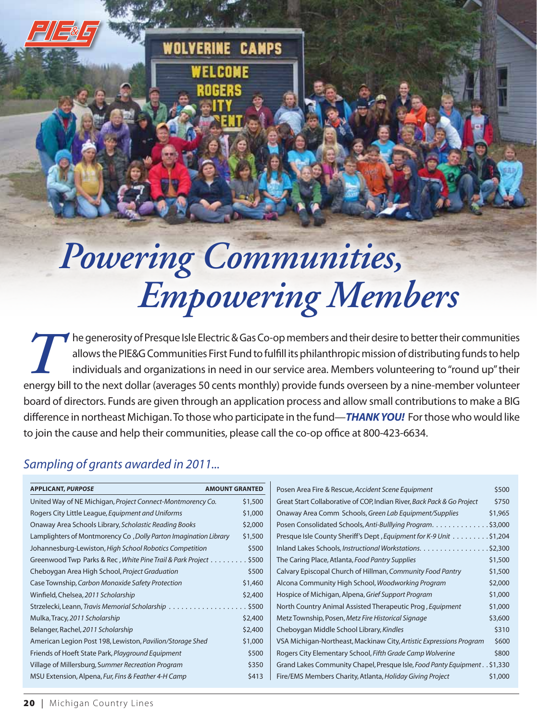## *Powering Communities, Empowering Members*

**WOLVERINE CAMPS** 

The generosity of Presque Isle Electric & Gas Co-op members and their desire to better their communities<br>allows the PIE&G Communities First Fund to fulfill its philanthropic mission of distributing funds to help<br>individual allows the PIE&G Communities First Fund to fulfll its philanthropic mission of distributing funds to help individuals and organizations in need in our service area. Members volunteering to "round up" their energy bill to the next dollar (averages 50 cents monthly) provide funds overseen by a nine-member volunteer board of directors. Funds are given through an application process and allow small contributions to make a BIG diference in northeast Michigan. To those who participate in the fund—*THANK YOU!*  For those who would like to join the cause and help their communities, please call the co-op office at 800-423-6634.

## *Sampling of grants awarded in 2011...*

| <b>APPLICANT, PURPOSE</b>                                        | <b>AMOUNT GRANTED</b> |
|------------------------------------------------------------------|-----------------------|
| United Way of NE Michigan, Project Connect-Montmorency Co.       | \$1,500               |
| Rogers City Little League, Equipment and Uniforms                | \$1,000               |
| Onaway Area Schools Library, Scholastic Reading Books            | \$2,000               |
| Lamplighters of Montmorency Co, Dolly Parton Imagination Library | \$1,500               |
| Johannesburg-Lewiston, High School Robotics Competition          | \$500                 |
| Greenwood Twp Parks & Rec, White Pine Trail & Park Project \$500 |                       |
| Cheboygan Area High School, Project Graduation                   | \$500                 |
| Case Township, Carbon Monoxide Safety Protection                 | \$1,460               |
| Winfield, Chelsea, 2011 Scholarship                              | \$2,400               |
| Strzelecki, Leann, Travis Memorial Scholarship                   | .5500                 |
| Mulka, Tracy, 2011 Scholarship                                   | \$2,400               |
| Belanger, Rachel, 2011 Scholarship                               | \$2,400               |
| American Legion Post 198, Lewiston, Pavilion/Storage Shed        | \$1,000               |
| Friends of Hoeft State Park, Playground Equipment                | \$500                 |
| Village of Millersburg, Summer Recreation Program                | \$350                 |
| MSU Extension, Alpena, Fur, Fins & Feather 4-H Camp              | \$413                 |

| Posen Area Fire & Rescue, Accident Scene Equipment                          | \$500   |  |
|-----------------------------------------------------------------------------|---------|--|
| Great Start Collaborative of COP, Indian River, Back Pack & Go Project      | \$750   |  |
| Onaway Area Comm Schools, Green Lab Equipment/Supplies                      | \$1,965 |  |
| Posen Consolidated Schools, Anti-Bulllying Program. \$3,000                 |         |  |
| Presque Isle County Sheriff's Dept, Equipment for K-9 Unit \$1,204          |         |  |
| Inland Lakes Schools, Instructional Workstations. \$2,300                   |         |  |
| The Caring Place, Atlanta, Food Pantry Supplies                             | \$1,500 |  |
| Calvary Episcopal Church of Hillman, Community Food Pantry                  | \$1,500 |  |
| Alcona Community High School, Woodworking Program                           | \$2,000 |  |
| Hospice of Michigan, Alpena, Grief Support Program                          | \$1,000 |  |
| North Country Animal Assisted Therapeutic Prog, Equipment                   | \$1,000 |  |
| Metz Township, Posen, Metz Fire Historical Signage                          | \$3,600 |  |
| Cheboygan Middle School Library, Kindles                                    | \$310   |  |
| VSA Michigan-Northeast, Mackinaw City, Artistic Expressions Program         | \$600   |  |
| Rogers City Elementary School, Fifth Grade Camp Wolverine                   | \$800   |  |
| Grand Lakes Community Chapel, Presque Isle, Food Panty Equipment. . \$1,330 |         |  |
| Fire/EMS Members Charity, Atlanta, Holiday Giving Project                   | \$1,000 |  |